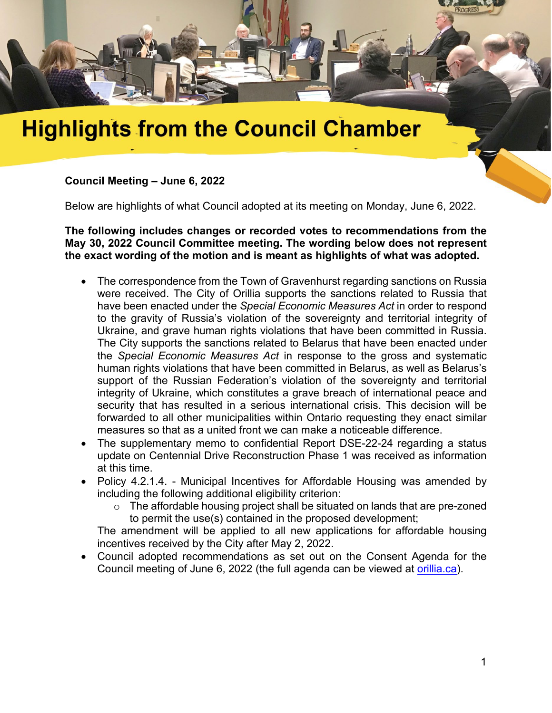

## **Highlights from the Council Chamber**

## **Council Meeting – June 6, 2022**

Below are highlights of what Council adopted at its meeting on Monday, June 6, 2022.

**The following includes changes or recorded votes to recommendations from the May 30, 2022 Council Committee meeting. The wording below does not represent the exact wording of the motion and is meant as highlights of what was adopted.**

- The correspondence from the Town of Gravenhurst regarding sanctions on Russia were received. The City of Orillia supports the sanctions related to Russia that have been enacted under the *Special Economic Measures Act* in order to respond to the gravity of Russia's violation of the sovereignty and territorial integrity of Ukraine, and grave human rights violations that have been committed in Russia. The City supports the sanctions related to Belarus that have been enacted under the *Special Economic Measures Act* in response to the gross and systematic human rights violations that have been committed in Belarus, as well as Belarus's support of the Russian Federation's violation of the sovereignty and territorial integrity of Ukraine, which constitutes a grave breach of international peace and security that has resulted in a serious international crisis. This decision will be forwarded to all other municipalities within Ontario requesting they enact similar measures so that as a united front we can make a noticeable difference.
- The supplementary memo to confidential Report DSE-22-24 regarding a status update on Centennial Drive Reconstruction Phase 1 was received as information at this time.
- Policy 4.2.1.4. Municipal Incentives for Affordable Housing was amended by including the following additional eligibility criterion:
	- $\circ$  The affordable housing project shall be situated on lands that are pre-zoned to permit the use(s) contained in the proposed development;

The amendment will be applied to all new applications for affordable housing incentives received by the City after May 2, 2022.

• Council adopted recommendations as set out on the Consent Agenda for the Council meeting of June 6, 2022 (the full agenda can be viewed at [orillia.ca\)](http://orillia.ca/).